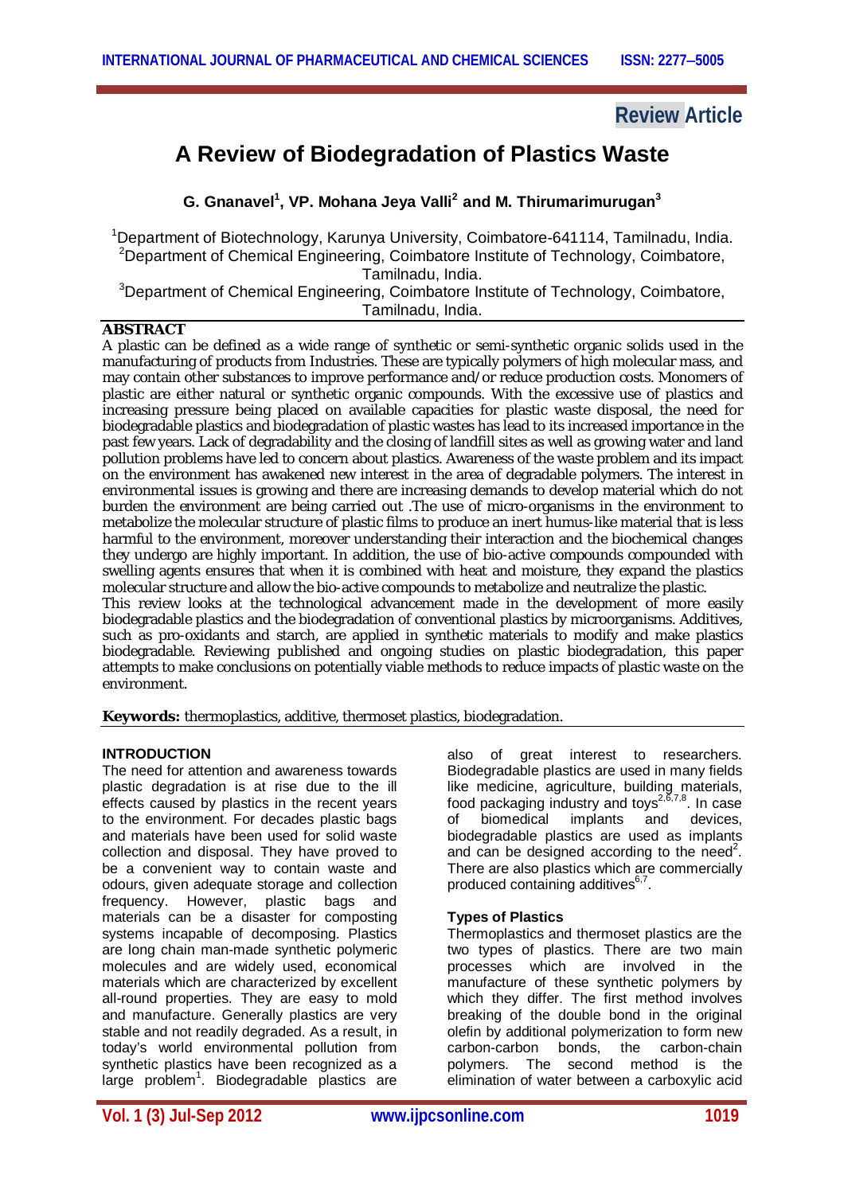## **Review Article**

# **A Review of Biodegradation of Plastics Waste**

**G. Gnanavel<sup>1</sup> , VP. Mohana Jeya Valli<sup>2</sup> and M. Thirumarimurugan<sup>3</sup>**

<sup>1</sup>Department of Biotechnology, Karunya University, Coimbatore-641114, Tamilnadu, India. <sup>2</sup>Department of Chemical Engineering, Coimbatore Institute of Technology, Coimbatore, Tamilnadu, India. <sup>3</sup>Department of Chemical Engineering, Coimbatore Institute of Technology, Coimbatore,

Tamilnadu, India.

## **ABSTRACT**

A plastic can be defined as a wide range of synthetic or semi-synthetic organic solids used in the manufacturing of products from Industries. These are typically polymers of high molecular mass, and may contain other substances to improve performance and/or reduce production costs. Monomers of plastic are either natural or synthetic organic compounds. With the excessive use of plastics and increasing pressure being placed on available capacities for plastic waste disposal, the need for biodegradable plastics and biodegradation of plastic wastes has lead to its increased importance in the past few years. Lack of degradability and the closing of landfill sites as well as growing water and land pollution problems have led to concern about plastics. Awareness of the waste problem and its impact on the environment has awakened new interest in the area of degradable polymers. The interest in environmental issues is growing and there are increasing demands to develop material which do not burden the environment are being carried out .The use of micro-organisms in the environment to metabolize the molecular structure of plastic films to produce an inert humus-like material that is less harmful to the environment, moreover understanding their interaction and the biochemical changes they undergo are highly important. In addition, the use of bio-active compounds compounded with swelling agents ensures that when it is combined with heat and moisture, they expand the plastics molecular structure and allow the bio-active compounds to metabolize and neutralize the plastic. This review looks at the technological advancement made in the development of more easily biodegradable plastics and the biodegradation of conventional plastics by microorganisms. Additives,

such as pro-oxidants and starch, are applied in synthetic materials to modify and make plastics biodegradable. Reviewing published and ongoing studies on plastic biodegradation, this paper attempts to make conclusions on potentially viable methods to reduce impacts of plastic waste on the environment.

**Keywords:** thermoplastics, additive, thermoset plastics, biodegradation.

#### **INTRODUCTION**

The need for attention and awareness towards plastic degradation is at rise due to the ill effects caused by plastics in the recent years to the environment. For decades plastic bags and materials have been used for solid waste collection and disposal. They have proved to be a convenient way to contain waste and odours, given adequate storage and collection frequency. However, plastic bags and materials can be a disaster for composting systems incapable of decomposing. Plastics are long chain man-made synthetic polymeric molecules and are widely used, economical materials which are characterized by excellent all-round properties. They are easy to mold and manufacture. Generally plastics are very stable and not readily degraded. As a result, in today's world environmental pollution from synthetic plastics have been recognized as a large problem<sup>1</sup>. Biodegradable plastics are also of great interest to researchers. Biodegradable plastics are used in many fields like medicine, agriculture, building materials, food packaging industry and toys<sup>2,6,7,8</sup>. In case of biomedical implants and devices, biodegradable plastics are used as implants and can be designed according to the need<sup>2</sup>. There are also plastics which are commercially produced containing additives<sup>6,7</sup>.

#### **Types of Plastics**

Thermoplastics and thermoset plastics are the two types of plastics. There are two main processes which are involved in the manufacture of these synthetic polymers by which they differ. The first method involves breaking of the double bond in the original olefin by additional polymerization to form new carbon-carbon bonds, the carbon-chain polymers. The second method is the elimination of water between a carboxylic acid

**Vol. 1 (3) Jul-Sep 2012 www.ijpcsonline.com 1019**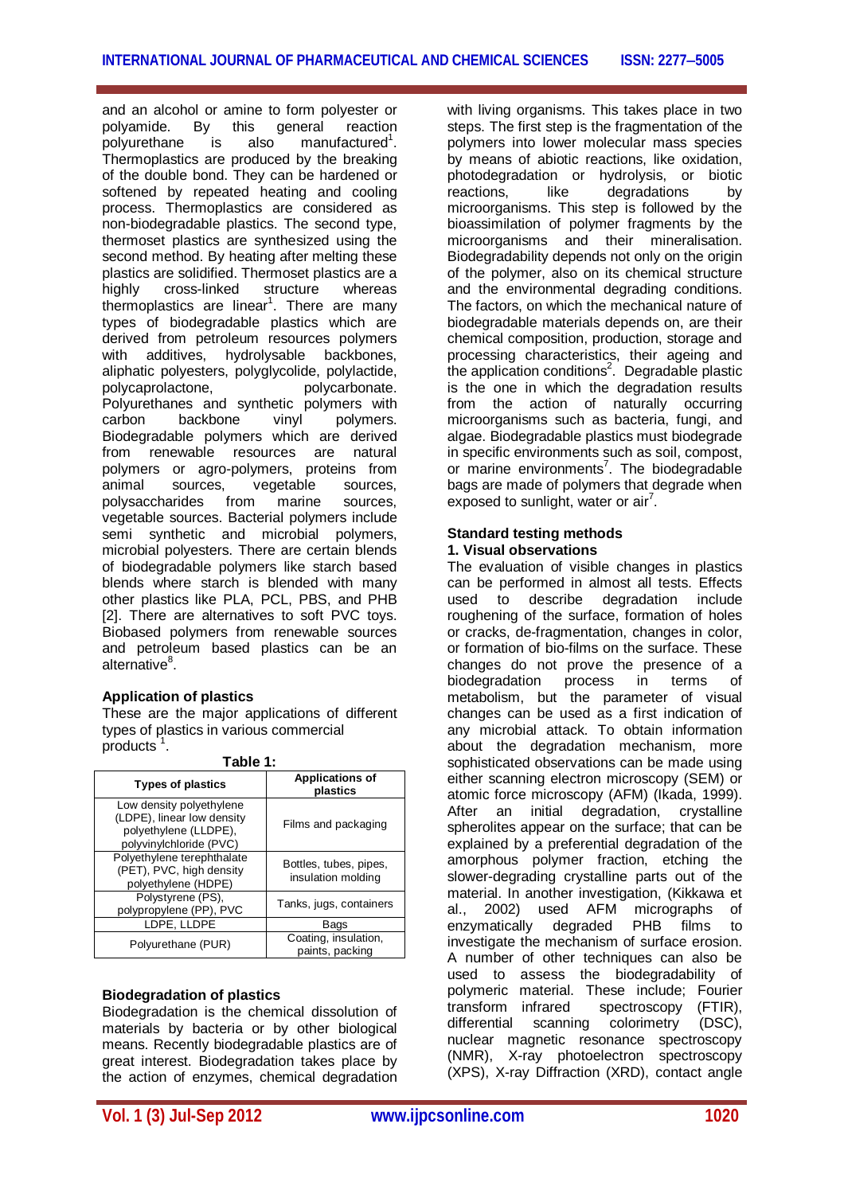and an alcohol or amine to form polyester or polyamide. By this general reaction polyurethane is also manufactured<sup>1</sup>. Thermoplastics are produced by the breaking of the double bond. They can be hardened or softened by repeated heating and cooling process. Thermoplastics are considered as non-biodegradable plastics. The second type, thermoset plastics are synthesized using the second method. By heating after melting these plastics are solidified. Thermoset plastics are a highly cross-linked structure whereas thermoplastics are linear<sup>1</sup>. There are many types of biodegradable plastics which are derived from petroleum resources polymers<br>with additives, hydrolysable backbones. with additives, hydrolysable backbones, aliphatic polyesters, polyglycolide, polylactide, polycaprolactone, polycarbonate. Polyurethanes and synthetic polymers with<br>
carbon backbone vinvl polymers backbone vinyl polymers. Biodegradable polymers which are derived from renewable resources are natural polymers or agro-polymers, proteins from animal sources, vegetable sources, polysaccharides from marine sources, vegetable sources. Bacterial polymers include semi synthetic and microbial polymers, microbial polyesters. There are certain blends of biodegradable polymers like starch based blends where starch is blended with many other plastics like PLA, PCL, PBS, and PHB [2]. There are alternatives to soft PVC toys. Biobased polymers from renewable sources and petroleum based plastics can be an alternative<sup>8</sup>.

#### **Application of plastics**

These are the major applications of different types of plastics in various commercial products<sup>1</sup>. **Table 1:** 

| rabie 1:                                                                                                   |                                              |
|------------------------------------------------------------------------------------------------------------|----------------------------------------------|
| <b>Types of plastics</b>                                                                                   | <b>Applications of</b><br>plastics           |
| Low density polyethylene<br>(LDPE), linear low density<br>polyethylene (LLDPE),<br>polyvinylchloride (PVC) | Films and packaging                          |
| Polyethylene terephthalate<br>(PET), PVC, high density<br>polyethylene (HDPE)                              | Bottles, tubes, pipes,<br>insulation molding |
| Polystyrene (PS),<br>polypropylene (PP), PVC                                                               | Tanks, jugs, containers                      |
| LDPE, LLDPE                                                                                                | Bags                                         |
| Polyurethane (PUR)                                                                                         | Coating, insulation,<br>paints, packing      |

#### **Biodegradation of plastics**

Biodegradation is the chemical dissolution of materials by bacteria or by other biological means. Recently biodegradable plastics are of great interest. Biodegradation takes place by the action of enzymes, chemical degradation

with living organisms. This takes place in two steps. The first step is the fragmentation of the polymers into lower molecular mass species by means of abiotic reactions, like oxidation, photodegradation or hydrolysis, or biotic reactions. like degradations by microorganisms. This step is followed by the bioassimilation of polymer fragments by the microorganisms and their mineralisation. Biodegradability depends not only on the origin of the polymer, also on its chemical structure and the environmental degrading conditions. The factors, on which the mechanical nature of biodegradable materials depends on, are their chemical composition, production, storage and processing characteristics, their ageing and the application conditions<sup>2</sup>. Degradable plastic is the one in which the degradation results from the action of naturally occurring microorganisms such as bacteria, fungi, and algae. Biodegradable plastics must biodegrade in specific environments such as soil, compost, or marine environments<sup>7</sup>. The biodegradable bags are made of polymers that degrade when exposed to sunlight, water or air<sup>7</sup>.

#### **Standard testing methods 1. Visual observations**

The evaluation of visible changes in plastics can be performed in almost all tests. Effects<br>used to describe degradation include degradation include roughening of the surface, formation of holes or cracks, de-fragmentation, changes in color, or formation of bio-films on the surface. These changes do not prove the presence of a<br>biodegradation process in terms of biodegradation process in terms of metabolism, but the parameter of visual changes can be used as a first indication of any microbial attack. To obtain information about the degradation mechanism, more sophisticated observations can be made using either scanning electron microscopy (SEM) or atomic force microscopy (AFM) (Ikada, 1999). After an initial degradation, crystalline spherolites appear on the surface; that can be explained by a preferential degradation of the amorphous polymer fraction, etching the slower-degrading crystalline parts out of the material. In another investigation, (Kikkawa et al., 2002) used AFM micrographs of enzymatically degraded PHB films to investigate the mechanism of surface erosion. A number of other techniques can also be used to assess the biodegradability of polymeric material. These include; Fourier transform infrared spectroscopy (FTIR), differential scanning colorimetry (DSC), nuclear magnetic resonance spectroscopy (NMR), X-ray photoelectron spectroscopy (XPS), X-ray Diffraction (XRD), contact angle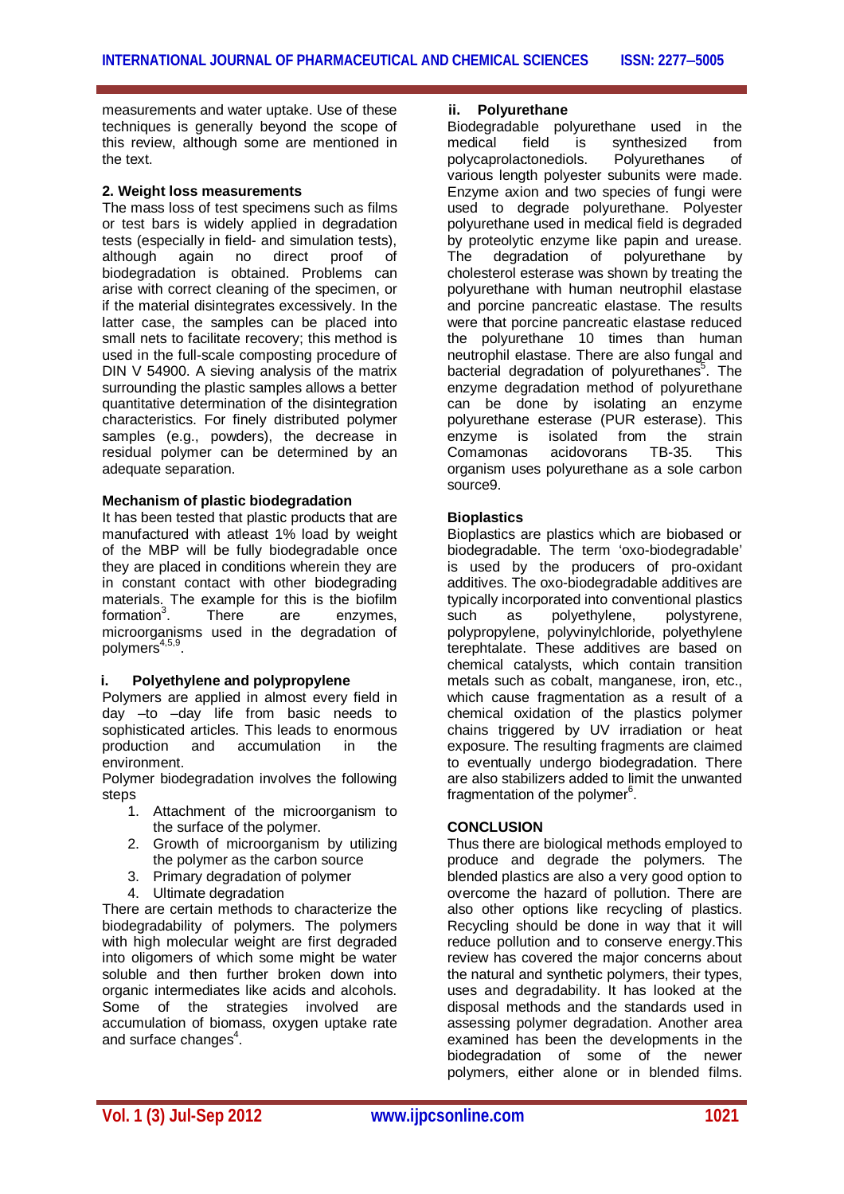measurements and water uptake. Use of these techniques is generally beyond the scope of this review, although some are mentioned in the text.

#### **2. Weight loss measurements**

The mass loss of test specimens such as films or test bars is widely applied in degradation tests (especially in field- and simulation tests),<br>although again no direct proof of although again no direct proof of biodegradation is obtained. Problems can arise with correct cleaning of the specimen, or if the material disintegrates excessively. In the latter case, the samples can be placed into small nets to facilitate recovery; this method is used in the full-scale composting procedure of DIN V 54900. A sieving analysis of the matrix surrounding the plastic samples allows a better quantitative determination of the disintegration characteristics. For finely distributed polymer samples (e.g., powders), the decrease in residual polymer can be determined by an adequate separation.

#### **Mechanism of plastic biodegradation**

It has been tested that plastic products that are manufactured with atleast 1% load by weight of the MBP will be fully biodegradable once they are placed in conditions wherein they are in constant contact with other biodegrading materials. The example for this is the biofilm formation $3$ . There are enzymes. microorganisms used in the degradation of polymers<sup>4,5,9</sup>.

#### **i. Polyethylene and polypropylene**

Polymers are applied in almost every field in day –to –day life from basic needs to sophisticated articles. This leads to enormous production and accumulation in the environment.

Polymer biodegradation involves the following steps

- 1. Attachment of the microorganism to the surface of the polymer.
- 2. Growth of microorganism by utilizing the polymer as the carbon source
- 3. Primary degradation of polymer
- 4. Ultimate degradation

There are certain methods to characterize the biodegradability of polymers. The polymers with high molecular weight are first degraded into oligomers of which some might be water soluble and then further broken down into organic intermediates like acids and alcohols. Some of the strategies involved are accumulation of biomass, oxygen uptake rate and surface changes $^4$ .

#### **ii. Polyurethane**

Biodegradable polyurethane used in the<br>medical field is synthesized from medical field is synthesized from polycaprolactonediols. Polyurethanes of various length polyester subunits were made. Enzyme axion and two species of fungi were used to degrade polyurethane. Polyester polyurethane used in medical field is degraded by proteolytic enzyme like papin and urease.<br>The degradation of polyurethane by The degradation of polyurethane cholesterol esterase was shown by treating the polyurethane with human neutrophil elastase and porcine pancreatic elastase. The results were that porcine pancreatic elastase reduced the polyurethane 10 times than human neutrophil elastase. There are also fungal and bacterial degradation of polyurethanes<sup>5</sup>. The enzyme degradation method of polyurethane can be done by isolating an enzyme polyurethane esterase (PUR esterase). This enzyme is isolated from the strain<br>Comamonas acidovorans TB-35 This Comamonas acidovorans TB-35. This organism uses polyurethane as a sole carbon source9.

#### **Bioplastics**

Bioplastics are plastics which are biobased or biodegradable. The term 'oxo-biodegradable' is used by the producers of pro-oxidant additives. The oxo-biodegradable additives are typically incorporated into conventional plastics such as polyethylene, polystyrene, polypropylene, polyvinylchloride, polyethylene terephtalate. These additives are based on chemical catalysts, which contain transition metals such as cobalt, manganese, iron, etc., which cause fragmentation as a result of a chemical oxidation of the plastics polymer chains triggered by UV irradiation or heat exposure. The resulting fragments are claimed to eventually undergo biodegradation. There are also stabilizers added to limit the unwanted fragmentation of the polymer<sup>6</sup>.

#### **CONCLUSION**

Thus there are biological methods employed to produce and degrade the polymers. The blended plastics are also a very good option to overcome the hazard of pollution. There are also other options like recycling of plastics. Recycling should be done in way that it will reduce pollution and to conserve energy.This review has covered the major concerns about the natural and synthetic polymers, their types, uses and degradability. It has looked at the disposal methods and the standards used in assessing polymer degradation. Another area examined has been the developments in the biodegradation of some of the newer polymers, either alone or in blended films.